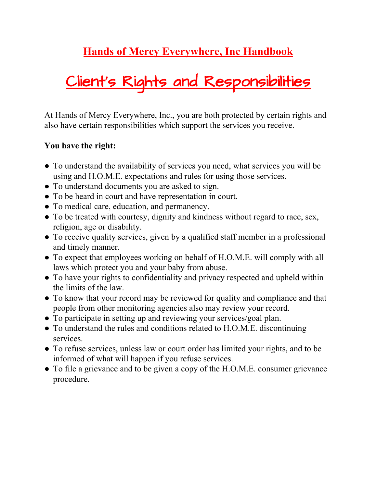### **Hands of Mercy Everywhere, Inc Handbook**

# Client's Rights and Responsibilities

At Hands of Mercy Everywhere, Inc., you are both protected by certain rights and also have certain responsibilities which support the services you receive.

#### **You have the right:**

- To understand the availability of services you need, what services you will be using and H.O.M.E. expectations and rules for using those services.
- To understand documents you are asked to sign.
- To be heard in court and have representation in court.
- To medical care, education, and permanency.
- To be treated with courtesy, dignity and kindness without regard to race, sex, religion, age or disability.
- To receive quality services, given by a qualified staff member in a professional and timely manner.
- To expect that employees working on behalf of H.O.M.E. will comply with all laws which protect you and your baby from abuse.
- To have your rights to confidentiality and privacy respected and upheld within the limits of the law.
- To know that your record may be reviewed for quality and compliance and that people from other monitoring agencies also may review your record.
- To participate in setting up and reviewing your services/goal plan.
- To understand the rules and conditions related to H.O.M.E. discontinuing services.
- To refuse services, unless law or court order has limited your rights, and to be informed of what will happen if you refuse services.
- To file a grievance and to be given a copy of the H.O.M.E. consumer grievance procedure.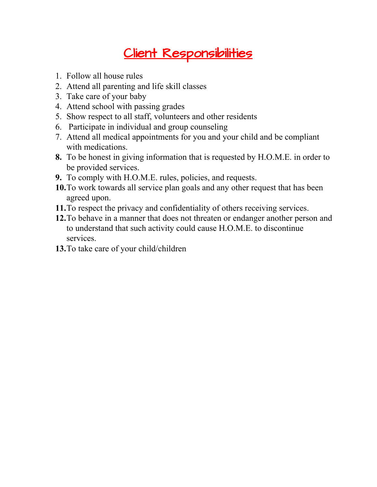### Client Responsibilities

- 1. Follow all house rules
- 2. Attend all parenting and life skill classes
- 3. Take care of your baby
- 4. Attend school with passing grades
- 5. Show respect to all staff, volunteers and other residents
- 6. Participate in individual and group counseling
- 7. Attend all medical appointments for you and your child and be compliant with medications.
- **8.** To be honest in giving information that is requested by H.O.M.E. in order to be provided services.
- **9.** To comply with H.O.M.E. rules, policies, and requests.
- **10.**To work towards all service plan goals and any other request that has been agreed upon.
- **11.**To respect the privacy and confidentiality of others receiving services.
- **12.**To behave in a manner that does not threaten or endanger another person and to understand that such activity could cause H.O.M.E. to discontinue services.
- **13.**To take care of your child/children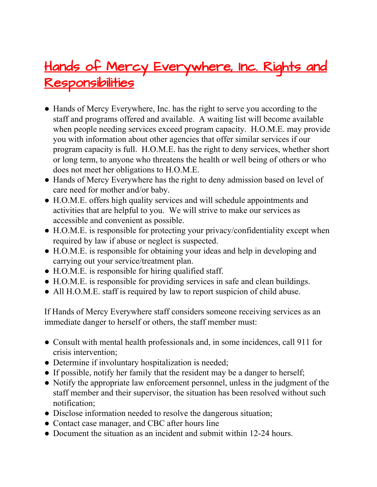### Hands of Mercy Everywhere, Inc. Rights and Responsibilities

- **●** Hands of Mercy Everywhere, Inc. has the right to serve you according to the staff and programs offered and available. A waiting list will become available when people needing services exceed program capacity. H.O.M.E. may provide you with information about other agencies that offer similar services if our program capacity is full. H.O.M.E. has the right to deny services, whether short or long term, to anyone who threatens the health or well being of others or who does not meet her obligations to H.O.M.E.
- **●** Hands of Mercy Everywhere has the right to deny admission based on level of care need for mother and/or baby.
- **●** H.O.M.E. offers high quality services and will schedule appointments and activities that are helpful to you. We will strive to make our services as accessible and convenient as possible.
- **●** H.O.M.E. is responsible for protecting your privacy/confidentiality except when required by law if abuse or neglect is suspected.
- **●** H.O.M.E. is responsible for obtaining your ideas and help in developing and carrying out your service/treatment plan.
- **●** H.O.M.E. is responsible for hiring qualified staff.
- **●** H.O.M.E. is responsible for providing services in safe and clean buildings.
- **●** All H.O.M.E. staff is required by law to report suspicion of child abuse.

If Hands of Mercy Everywhere staff considers someone receiving services as an immediate danger to herself or others, the staff member must:

- **●** Consult with mental health professionals and, in some incidences, call 911 for crisis intervention;
- **●** Determine if involuntary hospitalization is needed;
- **●** If possible, notify her family that the resident may be a danger to herself;
- **●** Notify the appropriate law enforcement personnel, unless in the judgment of the staff member and their supervisor, the situation has been resolved without such notification;
- **●** Disclose information needed to resolve the dangerous situation;
- **●** Contact case manager, and CBC after hours line
- **●** Document the situation as an incident and submit within 12-24 hours.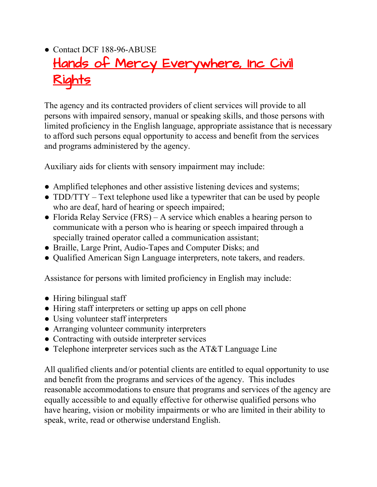### **●** Contact DCF 188-96-ABUSE Hands of Mercy Everywhere, Inc Civil Rights

The agency and its contracted providers of client services will provide to all persons with impaired sensory, manual or speaking skills, and those persons with limited proficiency in the English language, appropriate assistance that is necessary to afford such persons equal opportunity to access and benefit from the services and programs administered by the agency.

Auxiliary aids for clients with sensory impairment may include:

- **●** Amplified telephones and other assistive listening devices and systems;
- **●** TDD/TTY Text telephone used like a typewriter that can be used by people who are deaf, hard of hearing or speech impaired;
- **●** Florida Relay Service (FRS) A service which enables a hearing person to communicate with a person who is hearing or speech impaired through a specially trained operator called a communication assistant;
- **●** Braille, Large Print, Audio-Tapes and Computer Disks; and
- **●** Qualified American Sign Language interpreters, note takers, and readers.

Assistance for persons with limited proficiency in English may include:

- **●** Hiring bilingual staff
- **●** Hiring staff interpreters or setting up apps on cell phone
- **●** Using volunteer staff interpreters
- **●** Arranging volunteer community interpreters
- **●** Contracting with outside interpreter services
- **●** Telephone interpreter services such as the AT&T Language Line

All qualified clients and/or potential clients are entitled to equal opportunity to use and benefit from the programs and services of the agency. This includes reasonable accommodations to ensure that programs and services of the agency are equally accessible to and equally effective for otherwise qualified persons who have hearing, vision or mobility impairments or who are limited in their ability to speak, write, read or otherwise understand English.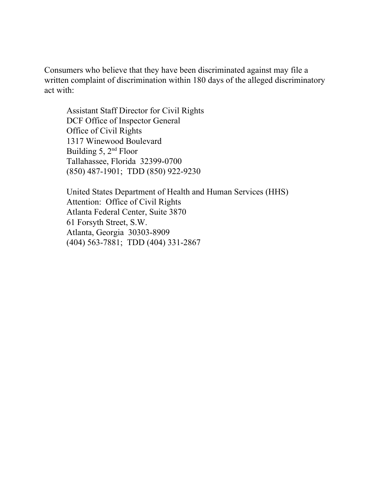Consumers who believe that they have been discriminated against may file a written complaint of discrimination within 180 days of the alleged discriminatory act with:

Assistant Staff Director for Civil Rights DCF Office of Inspector General Office of Civil Rights 1317 Winewood Boulevard Building 5, 2<sup>nd</sup> Floor Tallahassee, Florida 32399-0700 (850) 487-1901; TDD (850) 922-9230

United States Department of Health and Human Services (HHS) Attention: Office of Civil Rights Atlanta Federal Center, Suite 3870 61 Forsyth Street, S.W. Atlanta, Georgia 30303-8909 (404) 563-7881; TDD (404) 331-2867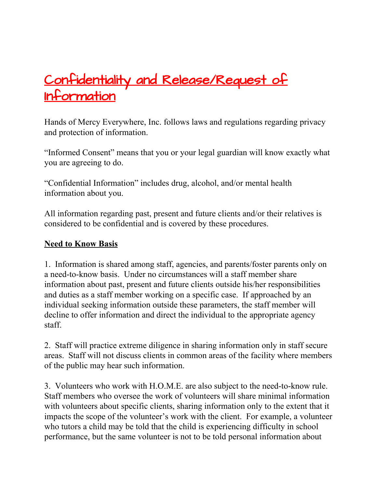# Confidentiality and Release/Request of Information

Hands of Mercy Everywhere, Inc. follows laws and regulations regarding privacy and protection of information.

"Informed Consent" means that you or your legal guardian will know exactly what you are agreeing to do.

"Confidential Information" includes drug, alcohol, and/or mental health information about you.

All information regarding past, present and future clients and/or their relatives is considered to be confidential and is covered by these procedures.

#### **Need to Know Basis**

1. Information is shared among staff, agencies, and parents/foster parents only on a need-to-know basis. Under no circumstances will a staff member share information about past, present and future clients outside his/her responsibilities and duties as a staff member working on a specific case. If approached by an individual seeking information outside these parameters, the staff member will decline to offer information and direct the individual to the appropriate agency staff.

2. Staff will practice extreme diligence in sharing information only in staff secure areas. Staff will not discuss clients in common areas of the facility where members of the public may hear such information.

3. Volunteers who work with H.O.M.E. are also subject to the need-to-know rule. Staff members who oversee the work of volunteers will share minimal information with volunteers about specific clients, sharing information only to the extent that it impacts the scope of the volunteer's work with the client. For example, a volunteer who tutors a child may be told that the child is experiencing difficulty in school performance, but the same volunteer is not to be told personal information about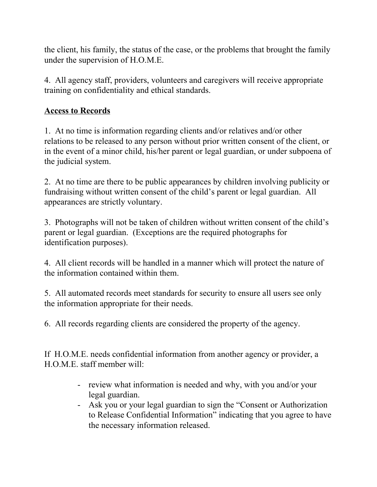the client, his family, the status of the case, or the problems that brought the family under the supervision of H.O.M.E.

4. All agency staff, providers, volunteers and caregivers will receive appropriate training on confidentiality and ethical standards.

#### **Access to Records**

1. At no time is information regarding clients and/or relatives and/or other relations to be released to any person without prior written consent of the client, or in the event of a minor child, his/her parent or legal guardian, or under subpoena of the judicial system.

2. At no time are there to be public appearances by children involving publicity or fundraising without written consent of the child's parent or legal guardian. All appearances are strictly voluntary.

3. Photographs will not be taken of children without written consent of the child's parent or legal guardian. (Exceptions are the required photographs for identification purposes).

4. All client records will be handled in a manner which will protect the nature of the information contained within them.

5. All automated records meet standards for security to ensure all users see only the information appropriate for their needs.

6. All records regarding clients are considered the property of the agency.

If H.O.M.E. needs confidential information from another agency or provider, a H.O.M.E. staff member will:

- review what information is needed and why, with you and/or your legal guardian.
- Ask you or your legal guardian to sign the "Consent or Authorization to Release Confidential Information" indicating that you agree to have the necessary information released.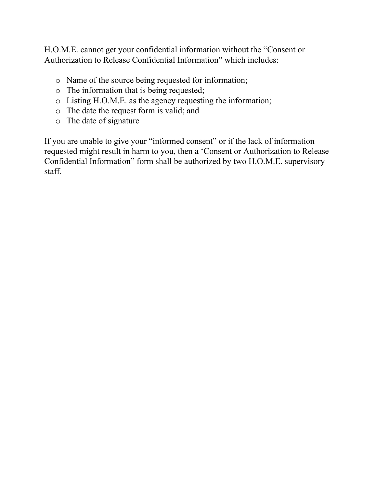H.O.M.E. cannot get your confidential information without the "Consent or Authorization to Release Confidential Information" which includes:

- o Name of the source being requested for information;
- o The information that is being requested;
- o Listing H.O.M.E. as the agency requesting the information;
- o The date the request form is valid; and
- o The date of signature

If you are unable to give your "informed consent" or if the lack of information requested might result in harm to you, then a 'Consent or Authorization to Release Confidential Information" form shall be authorized by two H.O.M.E. supervisory staff.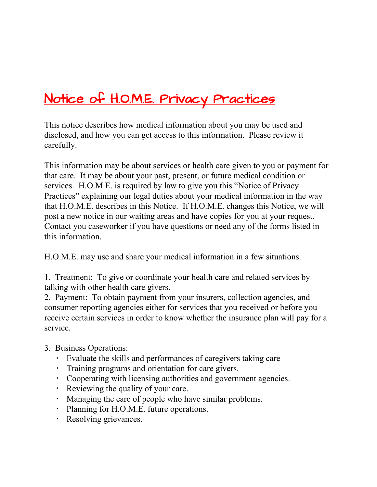# Notice of H.O.M.E. Privacy Practices

This notice describes how medical information about you may be used and disclosed, and how you can get access to this information. Please review it carefully.

This information may be about services or health care given to you or payment for that care. It may be about your past, present, or future medical condition or services. H.O.M.E. is required by law to give you this "Notice of Privacy Practices" explaining our legal duties about your medical information in the way that H.O.M.E. describes in this Notice. If H.O.M.E. changes this Notice, we will post a new notice in our waiting areas and have copies for you at your request. Contact you caseworker if you have questions or need any of the forms listed in this information.

H.O.M.E. may use and share your medical information in a few situations.

1. Treatment: To give or coordinate your health care and related services by talking with other health care givers.

2. Payment: To obtain payment from your insurers, collection agencies, and consumer reporting agencies either for services that you received or before you receive certain services in order to know whether the insurance plan will pay for a service.

- 3. Business Operations:
	- Evaluate the skills and performances of caregivers taking care
	- Training programs and orientation for care givers.
	- Cooperating with licensing authorities and government agencies.
	- Reviewing the quality of your care.
	- Managing the care of people who have similar problems.
	- Planning for H.O.M.E. future operations.
	- Resolving grievances.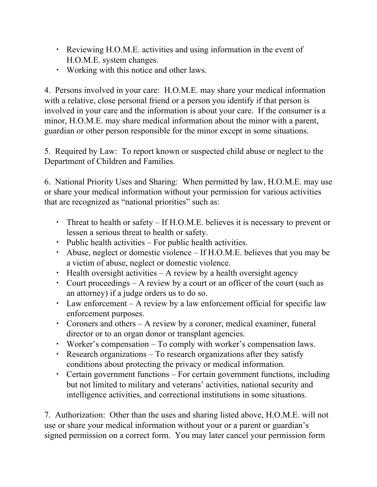- Reviewing H.O.M.E. activities and using information in the event of H.O.M.E. system changes.
- Working with this notice and other laws.

4. Persons involved in your care: H.O.M.E. may share your medical information with a relative, close personal friend or a person you identify if that person is involved in your care and the information is about your care. If the consumer is a minor, H.O.M.E. may share medical information about the minor with a parent, guardian or other person responsible for the minor except in some situations.

5. Required by Law: To report known or suspected child abuse or neglect to the Department of Children and Families.

6. National Priority Uses and Sharing: When permitted by law, H.O.M.E. may use or share your medical information without your permission for various activities that are recognized as "national priorities" such as:

- Threat to health or safety If H.O.M.E. believes it is necessary to prevent or lessen a serious threat to health or safety.
- Public health activities For public health activities.
- Abuse, neglect or domestic violence If H.O.M.E. believes that you may be a victim of abuse, neglect or domestic violence.
- Health oversight activities A review by a health oversight agency
- Court proceedings A review by a court or an officer of the court (such as an attorney) if a judge orders us to do so.
- Law enforcement A review by a law enforcement official for specific law enforcement purposes.
- Coroners and others A review by a coroner, medical examiner, funeral director or to an organ donor or transplant agencies.
- Worker's compensation To comply with worker's compensation laws.
- Research organizations To research organizations after they satisfy conditions about protecting the privacy or medical information.
- Certain government functions For certain government functions, including but not limited to military and veterans' activities, national security and intelligence activities, and correctional institutions in some situations.

7. Authorization: Other than the uses and sharing listed above, H.O.M.E. will not use or share your medical information without your or a parent or guardian's signed permission on a correct form. You may later cancel your permission form